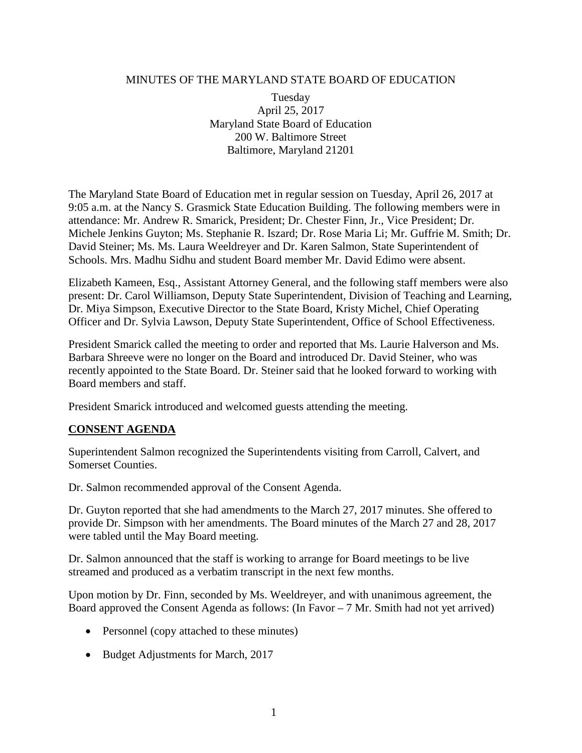#### MINUTES OF THE MARYLAND STATE BOARD OF EDUCATION

Tuesday April 25, 2017 Maryland State Board of Education 200 W. Baltimore Street Baltimore, Maryland 21201

The Maryland State Board of Education met in regular session on Tuesday, April 26, 2017 at 9:05 a.m. at the Nancy S. Grasmick State Education Building. The following members were in attendance: Mr. Andrew R. Smarick, President; Dr. Chester Finn, Jr., Vice President; Dr. Michele Jenkins Guyton; Ms. Stephanie R. Iszard; Dr. Rose Maria Li; Mr. Guffrie M. Smith; Dr. David Steiner; Ms. Ms. Laura Weeldreyer and Dr. Karen Salmon, State Superintendent of Schools. Mrs. Madhu Sidhu and student Board member Mr. David Edimo were absent.

Elizabeth Kameen, Esq., Assistant Attorney General, and the following staff members were also present: Dr. Carol Williamson, Deputy State Superintendent, Division of Teaching and Learning, Dr. Miya Simpson, Executive Director to the State Board, Kristy Michel, Chief Operating Officer and Dr. Sylvia Lawson, Deputy State Superintendent, Office of School Effectiveness.

President Smarick called the meeting to order and reported that Ms. Laurie Halverson and Ms. Barbara Shreeve were no longer on the Board and introduced Dr. David Steiner, who was recently appointed to the State Board. Dr. Steiner said that he looked forward to working with Board members and staff.

President Smarick introduced and welcomed guests attending the meeting.

## **CONSENT AGENDA**

Superintendent Salmon recognized the Superintendents visiting from Carroll, Calvert, and Somerset Counties.

Dr. Salmon recommended approval of the Consent Agenda.

Dr. Guyton reported that she had amendments to the March 27, 2017 minutes. She offered to provide Dr. Simpson with her amendments. The Board minutes of the March 27 and 28, 2017 were tabled until the May Board meeting.

Dr. Salmon announced that the staff is working to arrange for Board meetings to be live streamed and produced as a verbatim transcript in the next few months.

Upon motion by Dr. Finn, seconded by Ms. Weeldreyer, and with unanimous agreement, the Board approved the Consent Agenda as follows: (In Favor – 7 Mr. Smith had not yet arrived)

- Personnel (copy attached to these minutes)
- Budget Adjustments for March, 2017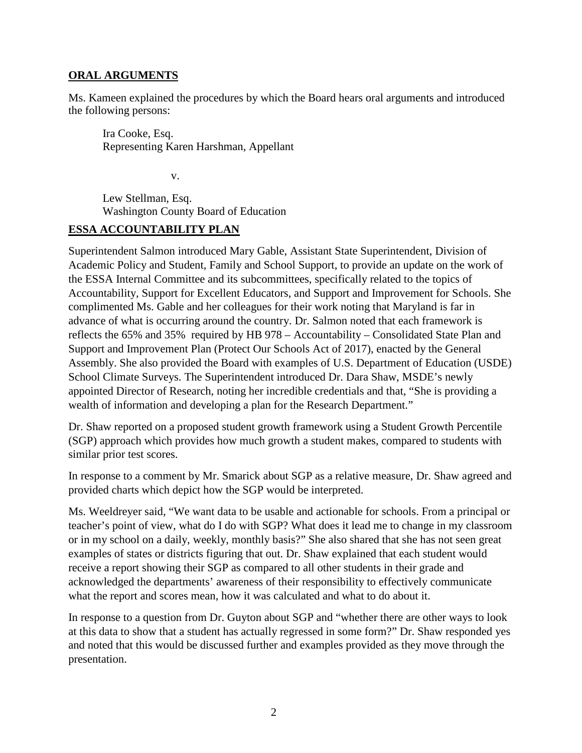#### **ORAL ARGUMENTS**

Ms. Kameen explained the procedures by which the Board hears oral arguments and introduced the following persons:

Ira Cooke, Esq. Representing Karen Harshman, Appellant

v.

Lew Stellman, Esq. Washington County Board of Education

# **ESSA ACCOUNTABILITY PLAN**

Superintendent Salmon introduced Mary Gable, Assistant State Superintendent, Division of Academic Policy and Student, Family and School Support, to provide an update on the work of the ESSA Internal Committee and its subcommittees, specifically related to the topics of Accountability, Support for Excellent Educators, and Support and Improvement for Schools. She complimented Ms. Gable and her colleagues for their work noting that Maryland is far in advance of what is occurring around the country. Dr. Salmon noted that each framework is reflects the 65% and 35% required by HB 978 – Accountability – Consolidated State Plan and Support and Improvement Plan (Protect Our Schools Act of 2017), enacted by the General Assembly. She also provided the Board with examples of U.S. Department of Education (USDE) School Climate Surveys. The Superintendent introduced Dr. Dara Shaw, MSDE's newly appointed Director of Research, noting her incredible credentials and that, "She is providing a wealth of information and developing a plan for the Research Department."

Dr. Shaw reported on a proposed student growth framework using a Student Growth Percentile (SGP) approach which provides how much growth a student makes, compared to students with similar prior test scores.

In response to a comment by Mr. Smarick about SGP as a relative measure, Dr. Shaw agreed and provided charts which depict how the SGP would be interpreted.

Ms. Weeldreyer said, "We want data to be usable and actionable for schools. From a principal or teacher's point of view, what do I do with SGP? What does it lead me to change in my classroom or in my school on a daily, weekly, monthly basis?" She also shared that she has not seen great examples of states or districts figuring that out. Dr. Shaw explained that each student would receive a report showing their SGP as compared to all other students in their grade and acknowledged the departments' awareness of their responsibility to effectively communicate what the report and scores mean, how it was calculated and what to do about it.

In response to a question from Dr. Guyton about SGP and "whether there are other ways to look at this data to show that a student has actually regressed in some form?" Dr. Shaw responded yes and noted that this would be discussed further and examples provided as they move through the presentation.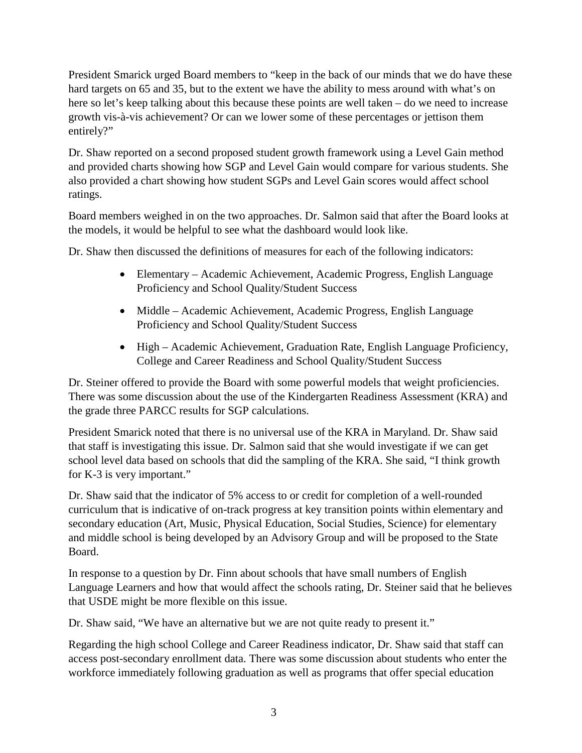President Smarick urged Board members to "keep in the back of our minds that we do have these hard targets on 65 and 35, but to the extent we have the ability to mess around with what's on here so let's keep talking about this because these points are well taken – do we need to increase growth vis-à-vis achievement? Or can we lower some of these percentages or jettison them entirely?"

Dr. Shaw reported on a second proposed student growth framework using a Level Gain method and provided charts showing how SGP and Level Gain would compare for various students. She also provided a chart showing how student SGPs and Level Gain scores would affect school ratings.

Board members weighed in on the two approaches. Dr. Salmon said that after the Board looks at the models, it would be helpful to see what the dashboard would look like.

Dr. Shaw then discussed the definitions of measures for each of the following indicators:

- Elementary Academic Achievement, Academic Progress, English Language Proficiency and School Quality/Student Success
- Middle Academic Achievement, Academic Progress, English Language Proficiency and School Quality/Student Success
- High Academic Achievement, Graduation Rate, English Language Proficiency, College and Career Readiness and School Quality/Student Success

Dr. Steiner offered to provide the Board with some powerful models that weight proficiencies. There was some discussion about the use of the Kindergarten Readiness Assessment (KRA) and the grade three PARCC results for SGP calculations.

President Smarick noted that there is no universal use of the KRA in Maryland. Dr. Shaw said that staff is investigating this issue. Dr. Salmon said that she would investigate if we can get school level data based on schools that did the sampling of the KRA. She said, "I think growth for K-3 is very important."

Dr. Shaw said that the indicator of 5% access to or credit for completion of a well-rounded curriculum that is indicative of on-track progress at key transition points within elementary and secondary education (Art, Music, Physical Education, Social Studies, Science) for elementary and middle school is being developed by an Advisory Group and will be proposed to the State Board.

In response to a question by Dr. Finn about schools that have small numbers of English Language Learners and how that would affect the schools rating, Dr. Steiner said that he believes that USDE might be more flexible on this issue.

Dr. Shaw said, "We have an alternative but we are not quite ready to present it."

Regarding the high school College and Career Readiness indicator, Dr. Shaw said that staff can access post-secondary enrollment data. There was some discussion about students who enter the workforce immediately following graduation as well as programs that offer special education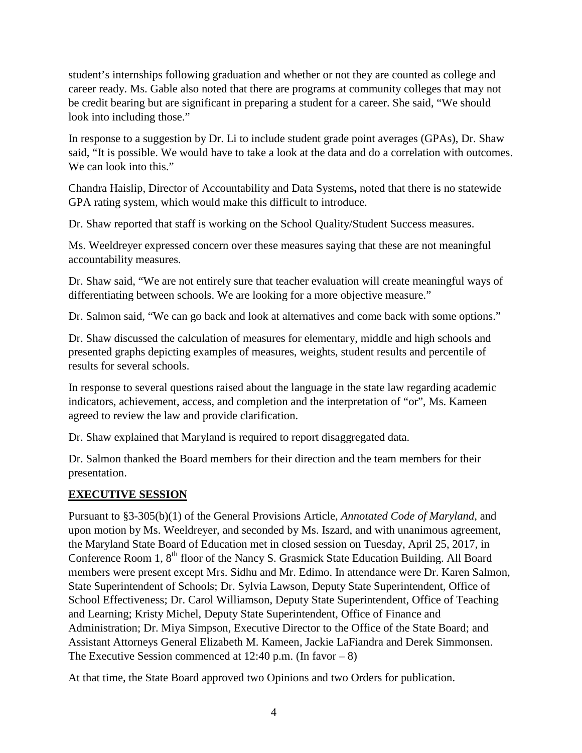student's internships following graduation and whether or not they are counted as college and career ready. Ms. Gable also noted that there are programs at community colleges that may not be credit bearing but are significant in preparing a student for a career. She said, "We should look into including those."

In response to a suggestion by Dr. Li to include student grade point averages (GPAs), Dr. Shaw said, "It is possible. We would have to take a look at the data and do a correlation with outcomes. We can look into this."

Chandra Haislip, Director of Accountability and Data Systems**,** noted that there is no statewide GPA rating system, which would make this difficult to introduce.

Dr. Shaw reported that staff is working on the School Quality/Student Success measures.

Ms. Weeldreyer expressed concern over these measures saying that these are not meaningful accountability measures.

Dr. Shaw said, "We are not entirely sure that teacher evaluation will create meaningful ways of differentiating between schools. We are looking for a more objective measure."

Dr. Salmon said, "We can go back and look at alternatives and come back with some options."

Dr. Shaw discussed the calculation of measures for elementary, middle and high schools and presented graphs depicting examples of measures, weights, student results and percentile of results for several schools.

In response to several questions raised about the language in the state law regarding academic indicators, achievement, access, and completion and the interpretation of "or", Ms. Kameen agreed to review the law and provide clarification.

Dr. Shaw explained that Maryland is required to report disaggregated data.

Dr. Salmon thanked the Board members for their direction and the team members for their presentation.

# **EXECUTIVE SESSION**

Pursuant to §3-305(b)(1) of the General Provisions Article, *Annotated Code of Maryland*, and upon motion by Ms. Weeldreyer, and seconded by Ms. Iszard, and with unanimous agreement, the Maryland State Board of Education met in closed session on Tuesday, April 25, 2017, in Conference Room 1, 8<sup>th</sup> floor of the Nancy S. Grasmick State Education Building. All Board members were present except Mrs. Sidhu and Mr. Edimo. In attendance were Dr. Karen Salmon, State Superintendent of Schools; Dr. Sylvia Lawson, Deputy State Superintendent, Office of School Effectiveness; Dr. Carol Williamson, Deputy State Superintendent, Office of Teaching and Learning; Kristy Michel, Deputy State Superintendent, Office of Finance and Administration; Dr. Miya Simpson, Executive Director to the Office of the State Board; and Assistant Attorneys General Elizabeth M. Kameen, Jackie LaFiandra and Derek Simmonsen. The Executive Session commenced at  $12:40$  p.m. (In favor – 8)

At that time, the State Board approved two Opinions and two Orders for publication.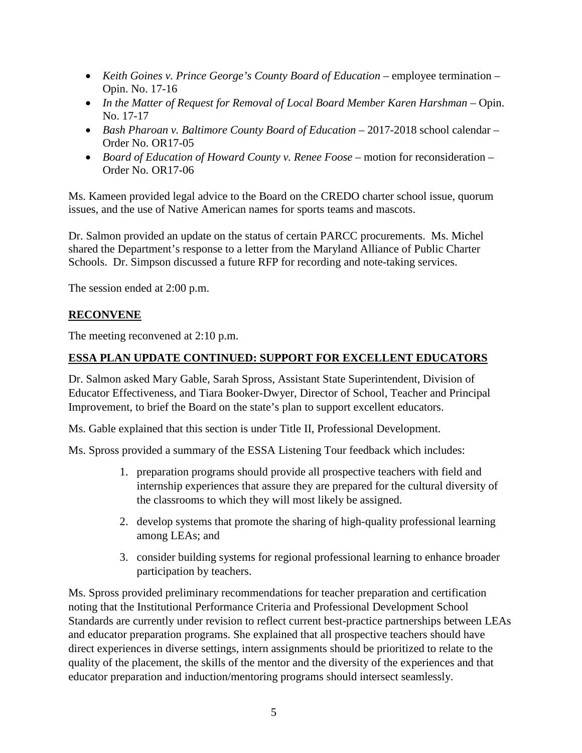- *Keith Goines v. Prince George's County Board of Education* employee termination Opin. No. 17-16
- *In the Matter of Request for Removal of Local Board Member Karen Harshman* Opin. No. 17-17
- *Bash Pharoan v. Baltimore County Board of Education* 2017-2018 school calendar Order No. OR17-05
- *Board of Education of Howard County v. Renee Foose* motion for reconsideration Order No. OR17-06

Ms. Kameen provided legal advice to the Board on the CREDO charter school issue, quorum issues, and the use of Native American names for sports teams and mascots.

Dr. Salmon provided an update on the status of certain PARCC procurements. Ms. Michel shared the Department's response to a letter from the Maryland Alliance of Public Charter Schools. Dr. Simpson discussed a future RFP for recording and note-taking services.

The session ended at 2:00 p.m.

# **RECONVENE**

The meeting reconvened at 2:10 p.m.

# **ESSA PLAN UPDATE CONTINUED: SUPPORT FOR EXCELLENT EDUCATORS**

Dr. Salmon asked Mary Gable, Sarah Spross, Assistant State Superintendent, Division of Educator Effectiveness, and Tiara Booker-Dwyer, Director of School, Teacher and Principal Improvement, to brief the Board on the state's plan to support excellent educators.

Ms. Gable explained that this section is under Title II, Professional Development.

Ms. Spross provided a summary of the ESSA Listening Tour feedback which includes:

- 1. preparation programs should provide all prospective teachers with field and internship experiences that assure they are prepared for the cultural diversity of the classrooms to which they will most likely be assigned.
- 2. develop systems that promote the sharing of high-quality professional learning among LEAs; and
- 3. consider building systems for regional professional learning to enhance broader participation by teachers.

Ms. Spross provided preliminary recommendations for teacher preparation and certification noting that the Institutional Performance Criteria and Professional Development School Standards are currently under revision to reflect current best-practice partnerships between LEAs and educator preparation programs. She explained that all prospective teachers should have direct experiences in diverse settings, intern assignments should be prioritized to relate to the quality of the placement, the skills of the mentor and the diversity of the experiences and that educator preparation and induction/mentoring programs should intersect seamlessly.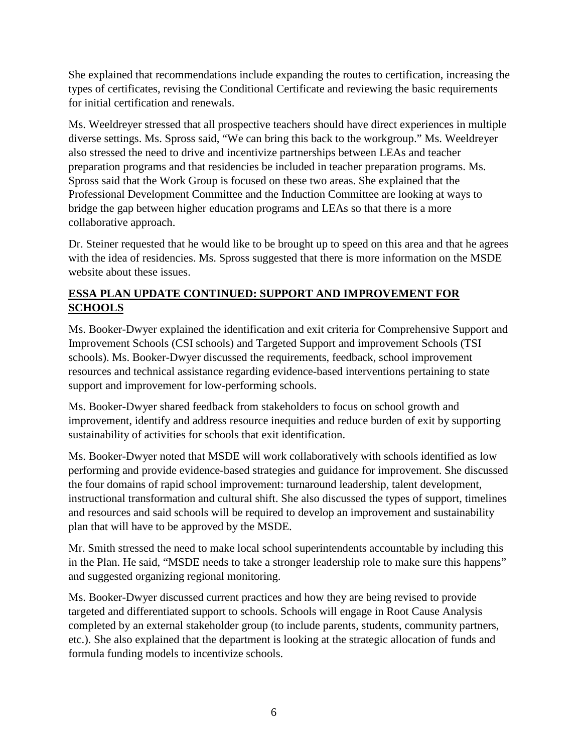She explained that recommendations include expanding the routes to certification, increasing the types of certificates, revising the Conditional Certificate and reviewing the basic requirements for initial certification and renewals.

Ms. Weeldreyer stressed that all prospective teachers should have direct experiences in multiple diverse settings. Ms. Spross said, "We can bring this back to the workgroup." Ms. Weeldreyer also stressed the need to drive and incentivize partnerships between LEAs and teacher preparation programs and that residencies be included in teacher preparation programs. Ms. Spross said that the Work Group is focused on these two areas. She explained that the Professional Development Committee and the Induction Committee are looking at ways to bridge the gap between higher education programs and LEAs so that there is a more collaborative approach.

Dr. Steiner requested that he would like to be brought up to speed on this area and that he agrees with the idea of residencies. Ms. Spross suggested that there is more information on the MSDE website about these issues.

# **ESSA PLAN UPDATE CONTINUED: SUPPORT AND IMPROVEMENT FOR SCHOOLS**

Ms. Booker-Dwyer explained the identification and exit criteria for Comprehensive Support and Improvement Schools (CSI schools) and Targeted Support and improvement Schools (TSI schools). Ms. Booker-Dwyer discussed the requirements, feedback, school improvement resources and technical assistance regarding evidence-based interventions pertaining to state support and improvement for low-performing schools.

Ms. Booker-Dwyer shared feedback from stakeholders to focus on school growth and improvement, identify and address resource inequities and reduce burden of exit by supporting sustainability of activities for schools that exit identification.

Ms. Booker-Dwyer noted that MSDE will work collaboratively with schools identified as low performing and provide evidence-based strategies and guidance for improvement. She discussed the four domains of rapid school improvement: turnaround leadership, talent development, instructional transformation and cultural shift. She also discussed the types of support, timelines and resources and said schools will be required to develop an improvement and sustainability plan that will have to be approved by the MSDE.

Mr. Smith stressed the need to make local school superintendents accountable by including this in the Plan. He said, "MSDE needs to take a stronger leadership role to make sure this happens" and suggested organizing regional monitoring.

Ms. Booker-Dwyer discussed current practices and how they are being revised to provide targeted and differentiated support to schools. Schools will engage in Root Cause Analysis completed by an external stakeholder group (to include parents, students, community partners, etc.). She also explained that the department is looking at the strategic allocation of funds and formula funding models to incentivize schools.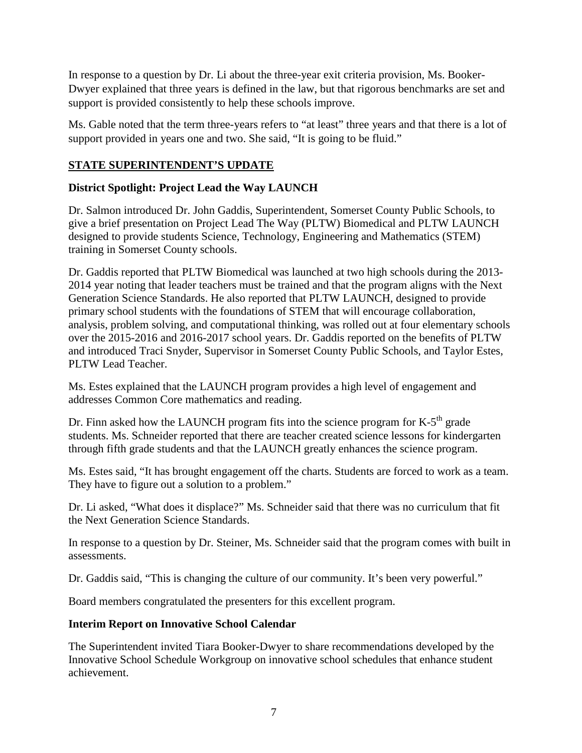In response to a question by Dr. Li about the three-year exit criteria provision, Ms. Booker-Dwyer explained that three years is defined in the law, but that rigorous benchmarks are set and support is provided consistently to help these schools improve.

Ms. Gable noted that the term three-years refers to "at least" three years and that there is a lot of support provided in years one and two. She said, "It is going to be fluid."

# **STATE SUPERINTENDENT'S UPDATE**

# **District Spotlight: Project Lead the Way LAUNCH**

Dr. Salmon introduced Dr. John Gaddis, Superintendent, Somerset County Public Schools, to give a brief presentation on Project Lead The Way (PLTW) Biomedical and PLTW LAUNCH designed to provide students Science, Technology, Engineering and Mathematics (STEM) training in Somerset County schools.

Dr. Gaddis reported that PLTW Biomedical was launched at two high schools during the 2013- 2014 year noting that leader teachers must be trained and that the program aligns with the Next Generation Science Standards. He also reported that PLTW LAUNCH, designed to provide primary school students with the foundations of STEM that will encourage collaboration, analysis, problem solving, and computational thinking, was rolled out at four elementary schools over the 2015-2016 and 2016-2017 school years. Dr. Gaddis reported on the benefits of PLTW and introduced Traci Snyder, Supervisor in Somerset County Public Schools, and Taylor Estes, PLTW Lead Teacher.

Ms. Estes explained that the LAUNCH program provides a high level of engagement and addresses Common Core mathematics and reading.

Dr. Finn asked how the LAUNCH program fits into the science program for  $K-5<sup>th</sup>$  grade students. Ms. Schneider reported that there are teacher created science lessons for kindergarten through fifth grade students and that the LAUNCH greatly enhances the science program.

Ms. Estes said, "It has brought engagement off the charts. Students are forced to work as a team. They have to figure out a solution to a problem."

Dr. Li asked, "What does it displace?" Ms. Schneider said that there was no curriculum that fit the Next Generation Science Standards.

In response to a question by Dr. Steiner, Ms. Schneider said that the program comes with built in assessments.

Dr. Gaddis said, "This is changing the culture of our community. It's been very powerful."

Board members congratulated the presenters for this excellent program.

# **Interim Report on Innovative School Calendar**

The Superintendent invited Tiara Booker-Dwyer to share recommendations developed by the Innovative School Schedule Workgroup on innovative school schedules that enhance student achievement.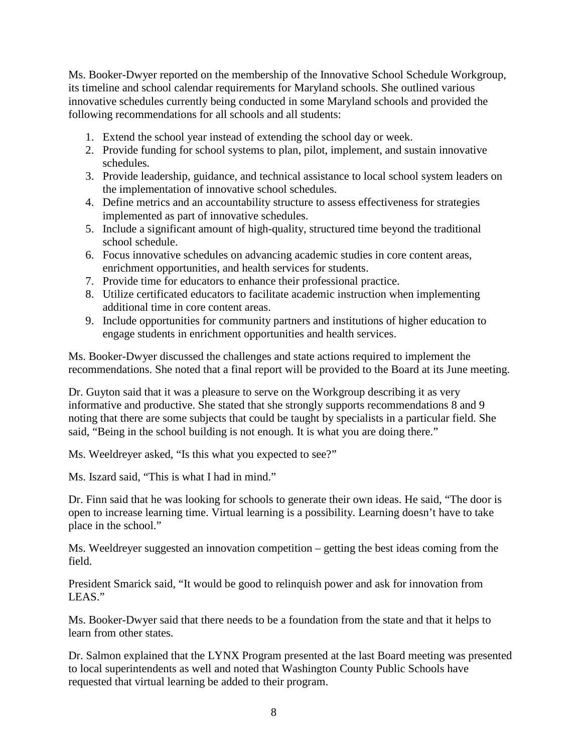Ms. Booker-Dwyer reported on the membership of the Innovative School Schedule Workgroup, its timeline and school calendar requirements for Maryland schools. She outlined various innovative schedules currently being conducted in some Maryland schools and provided the following recommendations for all schools and all students:

- 1. Extend the school year instead of extending the school day or week.
- 2. Provide funding for school systems to plan, pilot, implement, and sustain innovative schedules.
- 3. Provide leadership, guidance, and technical assistance to local school system leaders on the implementation of innovative school schedules.
- 4. Define metrics and an accountability structure to assess effectiveness for strategies implemented as part of innovative schedules.
- 5. Include a significant amount of high-quality, structured time beyond the traditional school schedule.
- 6. Focus innovative schedules on advancing academic studies in core content areas, enrichment opportunities, and health services for students.
- 7. Provide time for educators to enhance their professional practice.
- 8. Utilize certificated educators to facilitate academic instruction when implementing additional time in core content areas.
- 9. Include opportunities for community partners and institutions of higher education to engage students in enrichment opportunities and health services.

Ms. Booker-Dwyer discussed the challenges and state actions required to implement the recommendations. She noted that a final report will be provided to the Board at its June meeting.

Dr. Guyton said that it was a pleasure to serve on the Workgroup describing it as very informative and productive. She stated that she strongly supports recommendations 8 and 9 noting that there are some subjects that could be taught by specialists in a particular field. She said, "Being in the school building is not enough. It is what you are doing there."

Ms. Weeldreyer asked, "Is this what you expected to see?"

Ms. Iszard said, "This is what I had in mind."

Dr. Finn said that he was looking for schools to generate their own ideas. He said, "The door is open to increase learning time. Virtual learning is a possibility. Learning doesn't have to take place in the school."

Ms. Weeldreyer suggested an innovation competition – getting the best ideas coming from the field.

President Smarick said, "It would be good to relinquish power and ask for innovation from LEAS."

Ms. Booker-Dwyer said that there needs to be a foundation from the state and that it helps to learn from other states.

Dr. Salmon explained that the LYNX Program presented at the last Board meeting was presented to local superintendents as well and noted that Washington County Public Schools have requested that virtual learning be added to their program.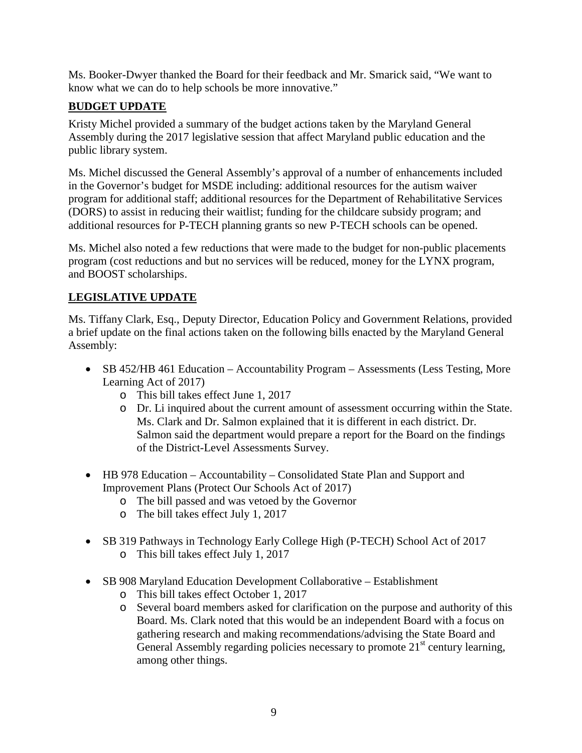Ms. Booker-Dwyer thanked the Board for their feedback and Mr. Smarick said, "We want to know what we can do to help schools be more innovative."

# **BUDGET UPDATE**

Kristy Michel provided a summary of the budget actions taken by the Maryland General Assembly during the 2017 legislative session that affect Maryland public education and the public library system.

Ms. Michel discussed the General Assembly's approval of a number of enhancements included in the Governor's budget for MSDE including: additional resources for the autism waiver program for additional staff; additional resources for the Department of Rehabilitative Services (DORS) to assist in reducing their waitlist; funding for the childcare subsidy program; and additional resources for P-TECH planning grants so new P-TECH schools can be opened.

Ms. Michel also noted a few reductions that were made to the budget for non-public placements program (cost reductions and but no services will be reduced, money for the LYNX program, and BOOST scholarships.

# **LEGISLATIVE UPDATE**

Ms. Tiffany Clark, Esq., Deputy Director, Education Policy and Government Relations, provided a brief update on the final actions taken on the following bills enacted by the Maryland General Assembly:

- SB 452/HB 461 Education Accountability Program Assessments (Less Testing, More Learning Act of 2017)
	- o This bill takes effect June 1, 2017
	- o Dr. Li inquired about the current amount of assessment occurring within the State. Ms. Clark and Dr. Salmon explained that it is different in each district. Dr. Salmon said the department would prepare a report for the Board on the findings of the District-Level Assessments Survey.
- HB 978 Education Accountability Consolidated State Plan and Support and Improvement Plans (Protect Our Schools Act of 2017)
	- o The bill passed and was vetoed by the Governor
	- o The bill takes effect July 1, 2017
- SB 319 Pathways in Technology Early College High (P-TECH) School Act of 2017
	- o This bill takes effect July 1, 2017
- SB 908 Maryland Education Development Collaborative Establishment
	- o This bill takes effect October 1, 2017
	- o Several board members asked for clarification on the purpose and authority of this Board. Ms. Clark noted that this would be an independent Board with a focus on gathering research and making recommendations/advising the State Board and General Assembly regarding policies necessary to promote  $21<sup>st</sup>$  century learning, among other things.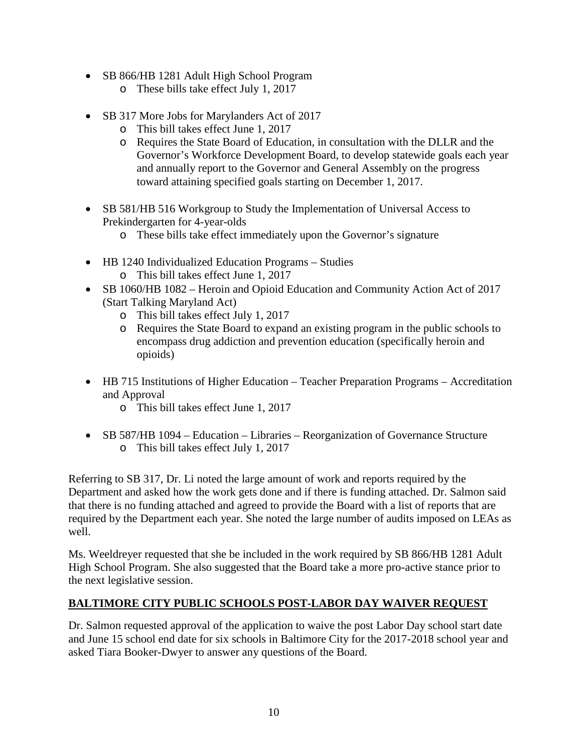- SB 866/HB 1281 Adult High School Program
	- o These bills take effect July 1, 2017
- SB 317 More Jobs for Marylanders Act of 2017
	- o This bill takes effect June 1, 2017
	- o Requires the State Board of Education, in consultation with the DLLR and the Governor's Workforce Development Board, to develop statewide goals each year and annually report to the Governor and General Assembly on the progress toward attaining specified goals starting on December 1, 2017.
- SB 581/HB 516 Workgroup to Study the Implementation of Universal Access to Prekindergarten for 4-year-olds
	- o These bills take effect immediately upon the Governor's signature
- HB 1240 Individualized Education Programs Studies
	- o This bill takes effect June 1, 2017
- SB 1060/HB 1082 Heroin and Opioid Education and Community Action Act of 2017 (Start Talking Maryland Act)
	- o This bill takes effect July 1, 2017
	- o Requires the State Board to expand an existing program in the public schools to encompass drug addiction and prevention education (specifically heroin and opioids)
- HB 715 Institutions of Higher Education Teacher Preparation Programs Accreditation and Approval
	- o This bill takes effect June 1, 2017
- SB 587/HB 1094 Education Libraries Reorganization of Governance Structure o This bill takes effect July 1, 2017

Referring to SB 317, Dr. Li noted the large amount of work and reports required by the Department and asked how the work gets done and if there is funding attached. Dr. Salmon said that there is no funding attached and agreed to provide the Board with a list of reports that are required by the Department each year. She noted the large number of audits imposed on LEAs as well.

Ms. Weeldreyer requested that she be included in the work required by SB 866/HB 1281 Adult High School Program. She also suggested that the Board take a more pro-active stance prior to the next legislative session.

## **BALTIMORE CITY PUBLIC SCHOOLS POST-LABOR DAY WAIVER REQUEST**

Dr. Salmon requested approval of the application to waive the post Labor Day school start date and June 15 school end date for six schools in Baltimore City for the 2017-2018 school year and asked Tiara Booker-Dwyer to answer any questions of the Board.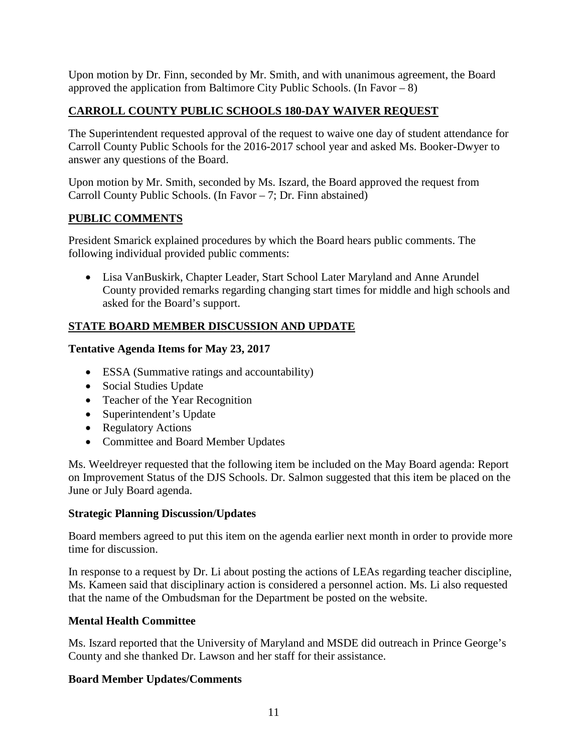Upon motion by Dr. Finn, seconded by Mr. Smith, and with unanimous agreement, the Board approved the application from Baltimore City Public Schools. (In Favor – 8)

# **CARROLL COUNTY PUBLIC SCHOOLS 180-DAY WAIVER REQUEST**

The Superintendent requested approval of the request to waive one day of student attendance for Carroll County Public Schools for the 2016-2017 school year and asked Ms. Booker-Dwyer to answer any questions of the Board.

Upon motion by Mr. Smith, seconded by Ms. Iszard, the Board approved the request from Carroll County Public Schools. (In Favor – 7; Dr. Finn abstained)

## **PUBLIC COMMENTS**

President Smarick explained procedures by which the Board hears public comments. The following individual provided public comments:

• Lisa VanBuskirk, Chapter Leader, Start School Later Maryland and Anne Arundel County provided remarks regarding changing start times for middle and high schools and asked for the Board's support.

# **STATE BOARD MEMBER DISCUSSION AND UPDATE**

## **Tentative Agenda Items for May 23, 2017**

- ESSA (Summative ratings and accountability)
- Social Studies Update
- Teacher of the Year Recognition
- Superintendent's Update
- Regulatory Actions
- Committee and Board Member Updates

Ms. Weeldreyer requested that the following item be included on the May Board agenda: Report on Improvement Status of the DJS Schools. Dr. Salmon suggested that this item be placed on the June or July Board agenda.

## **Strategic Planning Discussion/Updates**

Board members agreed to put this item on the agenda earlier next month in order to provide more time for discussion.

In response to a request by Dr. Li about posting the actions of LEAs regarding teacher discipline, Ms. Kameen said that disciplinary action is considered a personnel action. Ms. Li also requested that the name of the Ombudsman for the Department be posted on the website.

## **Mental Health Committee**

Ms. Iszard reported that the University of Maryland and MSDE did outreach in Prince George's County and she thanked Dr. Lawson and her staff for their assistance.

## **Board Member Updates/Comments**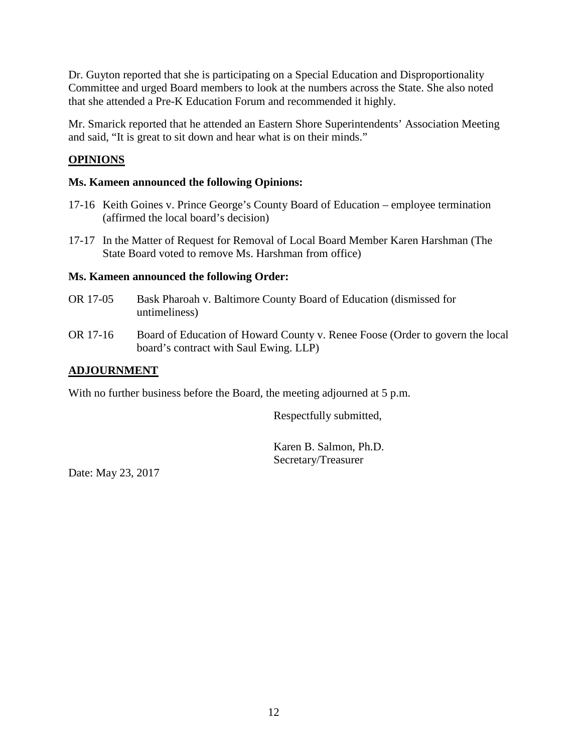Dr. Guyton reported that she is participating on a Special Education and Disproportionality Committee and urged Board members to look at the numbers across the State. She also noted that she attended a Pre-K Education Forum and recommended it highly.

Mr. Smarick reported that he attended an Eastern Shore Superintendents' Association Meeting and said, "It is great to sit down and hear what is on their minds."

# **OPINIONS**

## **Ms. Kameen announced the following Opinions:**

- 17-16 Keith Goines v. Prince George's County Board of Education employee termination (affirmed the local board's decision)
- 17-17 In the Matter of Request for Removal of Local Board Member Karen Harshman (The State Board voted to remove Ms. Harshman from office)

## **Ms. Kameen announced the following Order:**

- OR 17-05 Bask Pharoah v. Baltimore County Board of Education (dismissed for untimeliness)
- OR 17-16 Board of Education of Howard County v. Renee Foose (Order to govern the local board's contract with Saul Ewing. LLP)

## **ADJOURNMENT**

With no further business before the Board, the meeting adjourned at 5 p.m.

Respectfully submitted,

Karen B. Salmon, Ph.D. Secretary/Treasurer

Date: May 23, 2017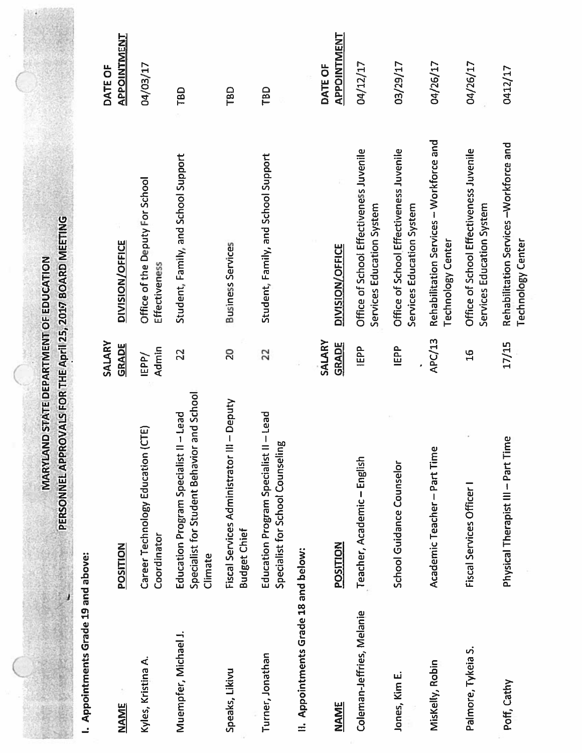|                                      | PERSONNEL APPROVALS FOR THE April 25, 2017 BOARD MEETING                                                    |                        |                                                                      |                               |
|--------------------------------------|-------------------------------------------------------------------------------------------------------------|------------------------|----------------------------------------------------------------------|-------------------------------|
| I. Appointments Grade 19 and above:  |                                                                                                             |                        |                                                                      |                               |
| <b>NAME</b>                          | POSITION                                                                                                    | SALARY<br><b>GRADE</b> | <b>DIVISION/OFFICE</b>                                               | <b>APPOINTMENT</b><br>DATE OF |
| Kyles, Kristina A.                   | (CTE)<br>Career Technology Education<br>Coordinator                                                         | Admin<br>IEPP/         | Office of the Deputy For School<br>Effectiveness                     | 04/03/17                      |
| Muempfer, Michael J.                 | Specialist for Student Behavior and School<br>$II - Lead$<br><b>Education Program Specialist</b><br>Climate | 22                     | Student, Family, and School Support                                  | TBD                           |
| Speaks, Likivu                       | III-Deputy<br>Fiscal Services Administrator<br><b>Budget Chief</b>                                          | 20                     | <b>Business Services</b>                                             | TBD                           |
| Turner, Jonathan                     | $II - Lead$<br>Specialist for School Counseling<br><b>Education Program Specialist</b>                      | 22                     | Student, Family, and School Support                                  | TBD                           |
| II. Appointments Grade 18 and below: |                                                                                                             |                        |                                                                      |                               |
|                                      |                                                                                                             | SALARY                 |                                                                      | DATE OF                       |
| <b>NAME</b>                          | POSITION                                                                                                    | <b>GRADE</b>           | <b>DIVISION/OFFICE</b>                                               | <b>APPOINTMENT</b>            |
| Coleman-Jeffries, Melanie            | Teacher, Academic-English                                                                                   | IEPP                   | Office of School Effectiveness Juvenile<br>Services Education System | 04/12/17                      |
| Jones, Kim E.                        | School Guidance Counselor                                                                                   | IEPP                   | Office of School Effectiveness Juvenile<br>Services Education System | 03/29/17                      |
| Miskelly, Robin                      | Academic Teacher-Part Time                                                                                  | <b>APC/13</b>          | Rehabilitation Services - Workforce and<br><b>Technology Center</b>  | 04/26/17                      |
| Palmore, Tykeia S.                   | Fiscal Services Officer I                                                                                   | $\frac{6}{1}$          | Office of School Effectiveness Juvenile<br>Services Education System | 04/26/17                      |
| Poff, Cathy                          | Physical Therapist III - Part Time                                                                          | 17/15                  | Rehabilitation Services-Workforce and                                | 0412/17                       |

**MARYLAND STATE DEPARTMENT OF EDUCATION** 

**Technology Center**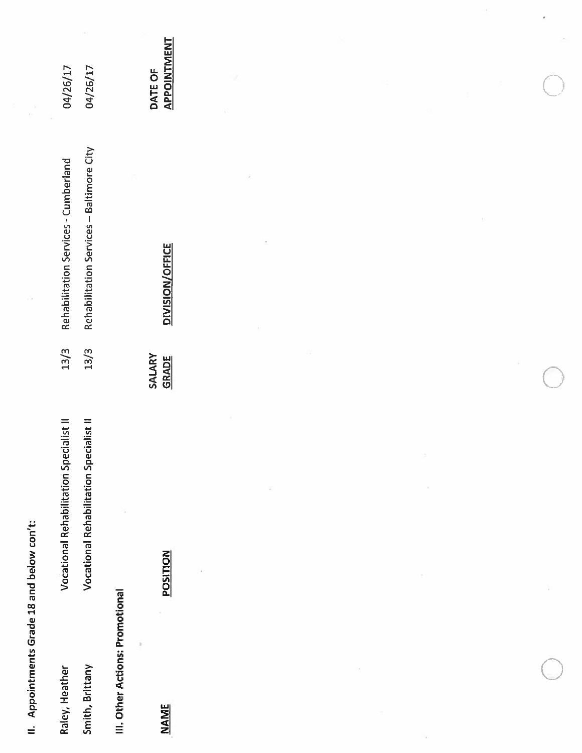II. Appointments Grade 18 and below con't:

| Raley, Heather  | Specialist II<br><b>Vocational Rehabilitation</b> | 13/3 Rehabilitation Services - Cumberland     | 04/26/17 |
|-----------------|---------------------------------------------------|-----------------------------------------------|----------|
| Smith, Brittany | Specialist II<br><b>Vocational Rehabilitation</b> | 13/3 Rehabilitation Services - Baltimore City | 04/26/17 |
|                 |                                                   |                                               |          |

III. Other Actions: Promotional

ä

**NAME** 

**POSITION** 

**DIVISION/OFFICE** SALARY<br>GRADE

APPOINTMENT DATE OF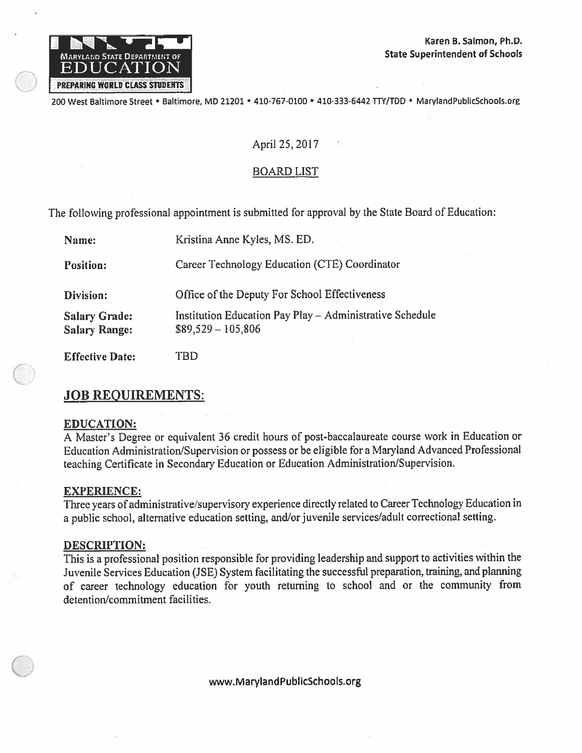

200 West Baltimore Street · Baltimore, MD 21201 · 410-767-0100 · 410-333-6442 TTY/TDD · MarylandPublicSchools.org

## April 25, 2017

## **BOARD LIST**

The following professional appointment is submitted for approval by the State Board of Education:

| Kristina Anne Kyles, MS. ED.                                                    |
|---------------------------------------------------------------------------------|
| Career Technology Education (CTE) Coordinator                                   |
| Office of the Deputy For School Effectiveness                                   |
| Institution Education Pay Play - Administrative Schedule<br>$$89,529 - 105,806$ |
|                                                                                 |

**Effective Date: TBD** 

## **JOB REQUIREMENTS:**

#### **EDUCATION:**

A Master's Degree or equivalent 36 credit hours of post-baccalaureate course work in Education or Education Administration/Supervision or possess or be eligible for a Maryland Advanced Professional teaching Certificate in Secondary Education or Education Administration/Supervision.

#### **EXPERIENCE:**

Three years of administrative/supervisory experience directly related to Career Technology Education in a public school, alternative education setting, and/or juvenile services/adult correctional setting.

#### **DESCRIPTION:**

This is a professional position responsible for providing leadership and support to activities within the Juvenile Services Education (JSE) System facilitating the successful preparation, training, and planning of career technology education for youth returning to school and or the community from detention/commitment facilities.

www.MarylandPublicSchools.org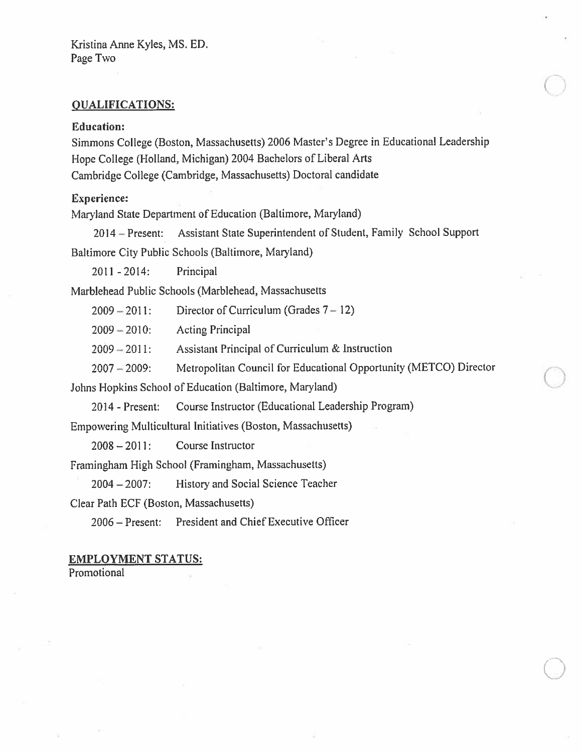#### **QUALIFICATIONS:**

#### **Education:**

Simmons College (Boston, Massachusetts) 2006 Master's Degree in Educational Leadership Hope College (Holland, Michigan) 2004 Bachelors of Liberal Arts Cambridge College (Cambridge, Massachusetts) Doctoral candidate

#### **Experience:**

Maryland State Department of Education (Baltimore, Maryland)

Assistant State Superintendent of Student, Family School Support  $2014 -$ Present: Baltimore City Public Schools (Baltimore, Maryland)

 $2011 - 2014$ : Principal

Marblehead Public Schools (Marblehead, Massachusetts

 $2009 - 2011$ : Director of Curriculum (Grades  $7 - 12$ )

 $2009 - 2010$ : **Acting Principal** 

Assistant Principal of Curriculum & Instruction  $2009 - 2011$ :

Metropolitan Council for Educational Opportunity (METCO) Director  $2007 - 2009$ :

Johns Hopkins School of Education (Baltimore, Maryland)

Course Instructor (Educational Leadership Program) 2014 - Present:

Empowering Multicultural Initiatives (Boston, Massachusetts)

 $2008 - 2011$ : Course Instructor

Framingham High School (Framingham, Massachusetts)

 $2004 - 2007$ : History and Social Science Teacher

Clear Path ECF (Boston, Massachusetts)

2006 – Present: President and Chief Executive Officer

#### **EMPLOYMENT STATUS:**

Promotional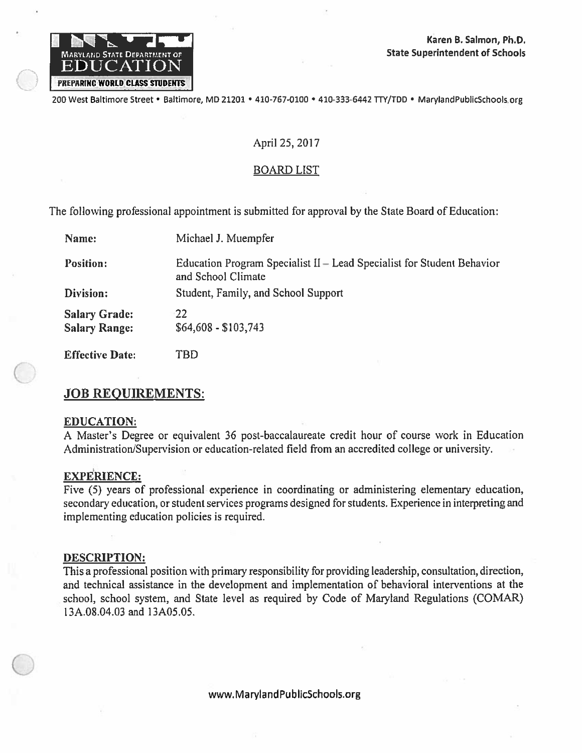

200 West Baltimore Street • Baltimore, MD 21201 • 410-767-0100 • 410-333-6442 TTY/TDD • MarylandPublicSchools.org

## April 25, 2017

#### **BOARD LIST**

The following professional appointment is submitted for approval by the State Board of Education:

| Name:                                        | Michael J. Muempfer                                                                          |
|----------------------------------------------|----------------------------------------------------------------------------------------------|
| <b>Position:</b>                             | Education Program Specialist II – Lead Specialist for Student Behavior<br>and School Climate |
| Division:                                    | Student, Family, and School Support                                                          |
| <b>Salary Grade:</b><br><b>Salary Range:</b> | $-22$<br>\$64,608 - \$103,743                                                                |
|                                              |                                                                                              |

**Effective Date:** TBD

# **JOB REQUIREMENTS:**

#### **EDUCATION:**

A Master's Degree or equivalent 36 post-baccalaureate credit hour of course work in Education Administration/Supervision or education-related field from an accredited college or university.

#### **EXPERIENCE:**

Five (5) years of professional experience in coordinating or administering elementary education, secondary education, or student services programs designed for students. Experience in interpreting and implementing education policies is required.

#### **DESCRIPTION:**

This a professional position with primary responsibility for providing leadership, consultation, direction, and technical assistance in the development and implementation of behavioral interventions at the school, school system, and State level as required by Code of Maryland Regulations (COMAR) 13A.08.04.03 and 13A05.05.

www.MarylandPublicSchools.org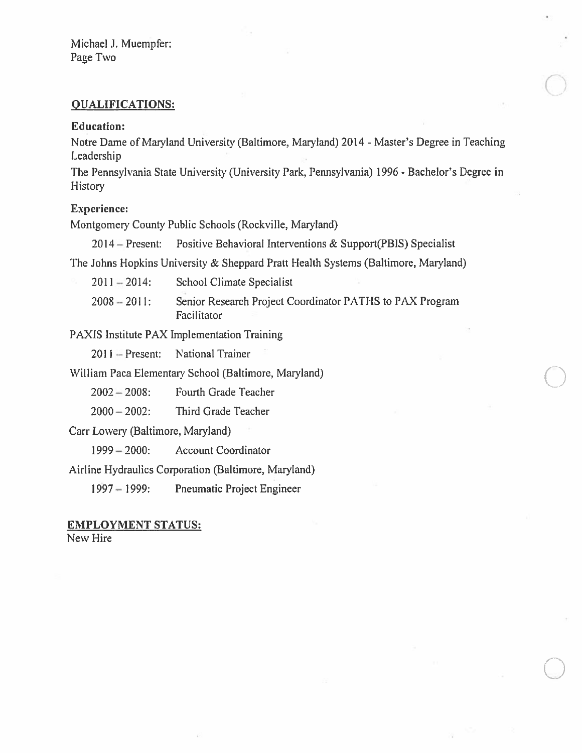Michael J. Muempfer: Page Two

## **QUALIFICATIONS:**

#### **Education:**

Notre Dame of Maryland University (Baltimore, Maryland) 2014 - Master's Degree in Teaching Leadership

The Pennsylvania State University (University Park, Pennsylvania) 1996 - Bachelor's Degree in **History** 

#### **Experience:**

Montgomery County Public Schools (Rockville, Maryland)

Positive Behavioral Interventions & Support(PBIS) Specialist  $2014 -$ Present:

The Johns Hopkins University & Sheppard Pratt Health Systems (Baltimore, Maryland)

| $2011 - 2014$ : | School Climate Specialist                                               |
|-----------------|-------------------------------------------------------------------------|
| $2008 - 2011$ : | Senior Research Project Coordinator PATHS to PAX Program<br>Facilitator |

PAXIS Institute PAX Implementation Training

National Trainer  $2011 -$ Present:

William Paca Elementary School (Baltimore, Maryland)

Fourth Grade Teacher  $2002 - 2008$ :

 $2000 - 2002$ : Third Grade Teacher

Carr Lowery (Baltimore, Maryland)

 $1999 - 2000$ : **Account Coordinator** 

Airline Hydraulics Corporation (Baltimore, Maryland)

 $1997 - 1999$ : Pneumatic Project Engineer

# **EMPLOYMENT STATUS:**

New Hire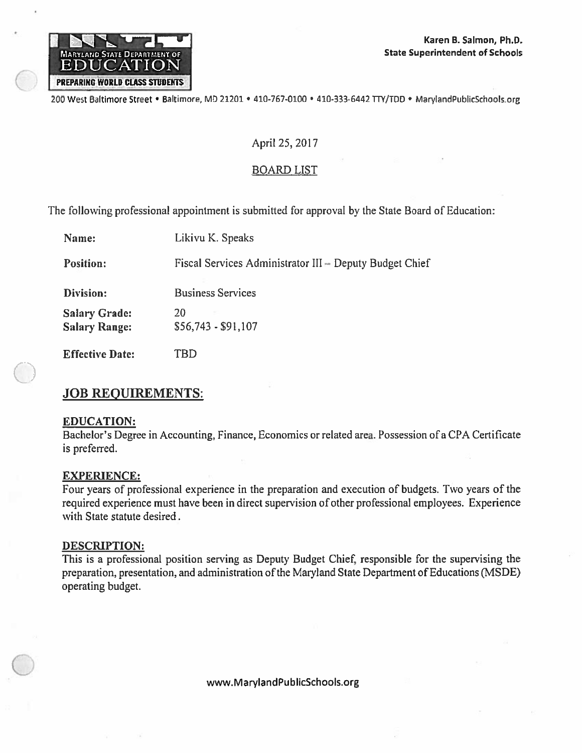

200 West Baltimore Street • Baltimore, MD 21201 • 410-767-0100 • 410-333-6442 TTY/TDD • MarylandPublicSchools.org

## April 25, 2017

## **BOARD LIST**

The following professional appointment is submitted for approval by the State Board of Education:

| Name:                                        | Likivu K. Speaks                                        |
|----------------------------------------------|---------------------------------------------------------|
| <b>Position:</b>                             | Fiscal Services Administrator III - Deputy Budget Chief |
| Division:                                    | <b>Business Services</b>                                |
| <b>Salary Grade:</b><br><b>Salary Range:</b> | 20<br>$$56,743 - $91,107$                               |
| <b>Fffective Date:</b>                       | TRD                                                     |

# **JOB REQUIREMENTS:**

#### **EDUCATION:**

Bachelor's Degree in Accounting, Finance, Economics or related area. Possession of a CPA Certificate is preferred.

#### **EXPERIENCE:**

Four years of professional experience in the preparation and execution of budgets. Two years of the required experience must have been in direct supervision of other professional employees. Experience with State statute desired.

#### DESCRIPTION:

This is a professional position serving as Deputy Budget Chief, responsible for the supervising the preparation, presentation, and administration of the Maryland State Department of Educations (MSDE) operating budget.

www.MarylandPublicSchools.org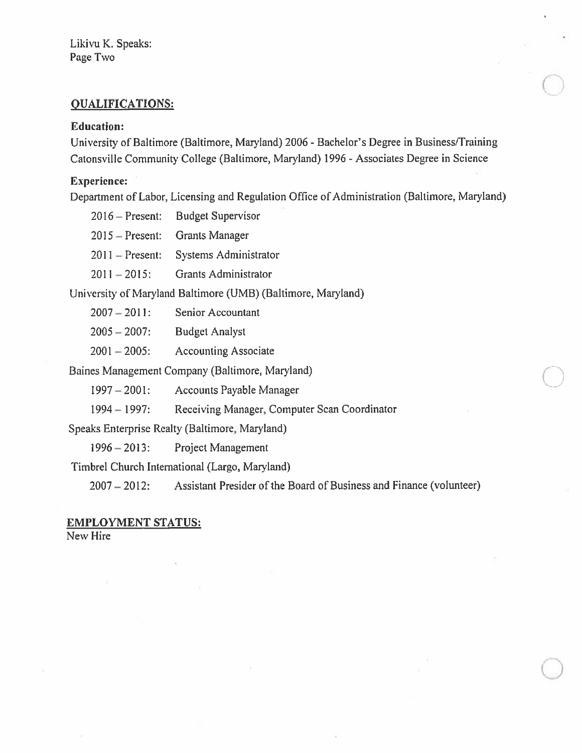Likivu K. Speaks: Page Two

# **QUALIFICATIONS:**

#### **Education:**

University of Baltimore (Baltimore, Maryland) 2006 - Bachelor's Degree in Business/Training Catonsville Community College (Baltimore, Maryland) 1996 - Associates Degree in Science

#### **Experience:**

Department of Labor, Licensing and Regulation Office of Administration (Baltimore, Maryland)

| $2016 -$ Present: | <b>Budget Supervisor</b>                                     |
|-------------------|--------------------------------------------------------------|
| $2015$ – Present: | <b>Grants Manager</b>                                        |
| $2011$ – Present: | Systems Administrator                                        |
| $2011 - 2015$ :   | <b>Grants Administrator</b>                                  |
|                   | University of Maryland Baltimore (UMB) (Baltimore, Maryland) |
| $2007 - 2011$ :   | <b>Senior Accountant</b>                                     |
|                   |                                                              |

 $2005 - 2007$ : **Budget Analyst** 

**Accounting Associate**  $2001 - 2005$ :

Baines Management Company (Baltimore, Maryland)

 $1997 - 2001$ : Accounts Payable Manager

Receiving Manager, Computer Scan Coordinator  $1994 - 1997$ :

Speaks Enterprise Realty (Baltimore, Maryland)

Project Management  $1996 - 2013$ :

Timbrel Church International (Largo, Maryland)

 $2007 - 2012$ : Assistant Presider of the Board of Business and Finance (volunteer)

#### **EMPLOYMENT STATUS:**

New Hire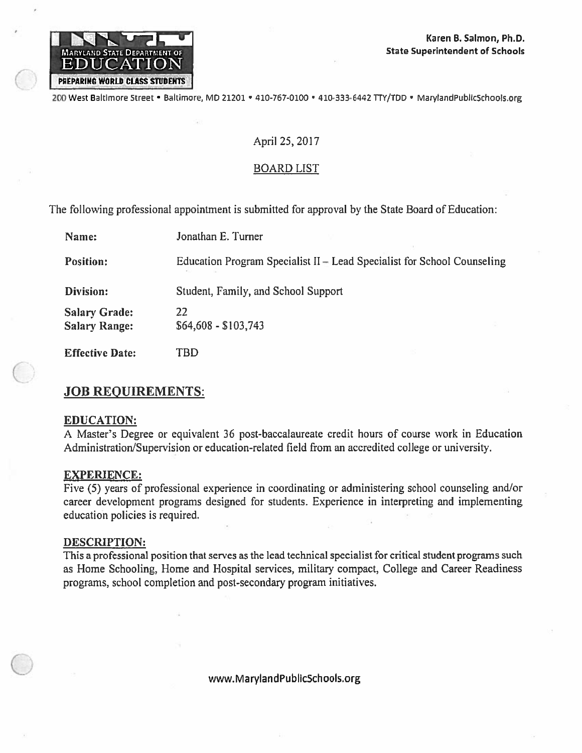

200 West Baltimore Street · Baltimore, MD 21201 · 410-767-0100 · 410-333-6442 TTY/TDD · MarylandPublicSchools.org

#### April 25, 2017

#### **BOARD LIST**

The following professional appointment is submitted for approval by the State Board of Education:

| Name:                                        | Jonathan E. Turner                                                      |
|----------------------------------------------|-------------------------------------------------------------------------|
| <b>Position:</b>                             | Education Program Specialist II – Lead Specialist for School Counseling |
| Division:                                    | Student, Family, and School Support                                     |
| <b>Salary Grade:</b><br><b>Salary Range:</b> | 22<br>\$64,608 - \$103,743                                              |
| <b>Effective Date:</b>                       | TBD                                                                     |

#### **JOB REQUIREMENTS:**

#### **EDUCATION:**

A Master's Degree or equivalent 36 post-baccalaureate credit hours of course work in Education Administration/Supervision or education-related field from an accredited college or university.

#### **EXPERIENCE:**

Five (5) years of professional experience in coordinating or administering school counseling and/or career development programs designed for students. Experience in interpreting and implementing education policies is required.

#### **DESCRIPTION:**

This a professional position that serves as the lead technical specialist for critical student programs such as Home Schooling, Home and Hospital services, military compact, College and Career Readiness programs, school completion and post-secondary program initiatives.

www.MarylandPublicSchools.org